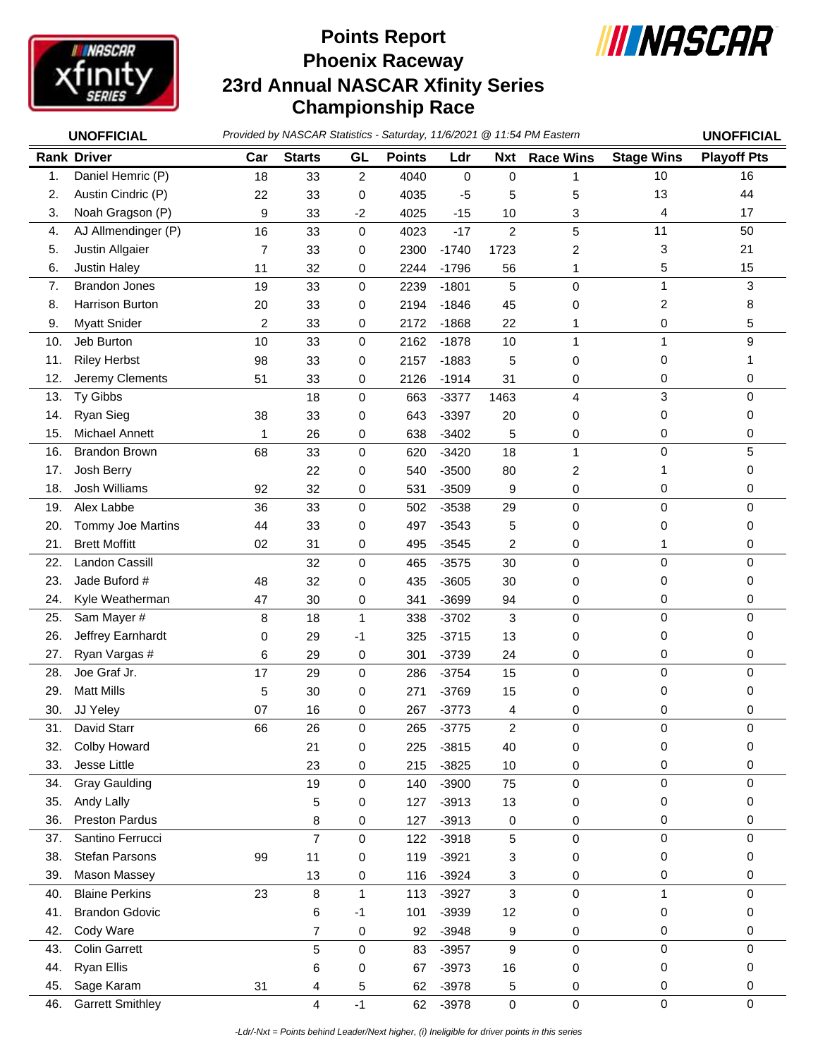

## **Phoenix Raceway 23rd Annual NASCAR Xfinity Series Championship Race Points Report**



| <b>UNOFFICIAL</b> |                         | Provided by NASCAR Statistics - Saturday, 11/6/2021 @ 11:54 PM Eastern | <b>UNOFFICIAL</b> |                |               |             |                |                  |                   |                    |
|-------------------|-------------------------|------------------------------------------------------------------------|-------------------|----------------|---------------|-------------|----------------|------------------|-------------------|--------------------|
|                   | <b>Rank Driver</b>      | Car                                                                    | <b>Starts</b>     | GL             | <b>Points</b> | Ldr         | Nxt            | <b>Race Wins</b> | <b>Stage Wins</b> | <b>Playoff Pts</b> |
| 1.                | Daniel Hemric (P)       | 18                                                                     | 33                | $\overline{2}$ | 4040          | $\mathbf 0$ | $\mathbf 0$    | 1                | 10                | 16                 |
| 2.                | Austin Cindric (P)      | 22                                                                     | 33                | 0              | 4035          | $-5$        | 5              | 5                | 13                | 44                 |
| 3.                | Noah Gragson (P)        | 9                                                                      | 33                | $-2$           | 4025          | $-15$       | 10             | 3                | 4                 | 17                 |
| 4.                | AJ Allmendinger (P)     | 16                                                                     | 33                | $\mathbf 0$    | 4023          | $-17$       | $\overline{c}$ | 5                | 11                | 50                 |
| 5.                | Justin Allgaier         | 7                                                                      | 33                | 0              | 2300          | $-1740$     | 1723           | 2                | 3                 | 21                 |
| 6.                | Justin Haley            | 11                                                                     | 32                | 0              | 2244          | $-1796$     | 56             | 1                | 5                 | 15                 |
| 7.                | <b>Brandon Jones</b>    | 19                                                                     | 33                | 0              | 2239          | $-1801$     | 5              | 0                | 1                 | 3                  |
| 8.                | Harrison Burton         | 20                                                                     | 33                | 0              | 2194          | $-1846$     | 45             | 0                | 2                 | 8                  |
| 9.                | <b>Myatt Snider</b>     | 2                                                                      | 33                | 0              | 2172          | $-1868$     | 22             | 1                | 0                 | 5                  |
| 10.               | Jeb Burton              | 10                                                                     | 33                | 0              | 2162          | $-1878$     | 10             | 1                | $\mathbf{1}$      | 9                  |
| 11.               | <b>Riley Herbst</b>     | 98                                                                     | 33                | 0              | 2157          | $-1883$     | 5              | 0                | 0                 | 1                  |
| 12.               | Jeremy Clements         | 51                                                                     | 33                | 0              | 2126          | $-1914$     | 31             | 0                | 0                 | 0                  |
| 13.               | Ty Gibbs                |                                                                        | 18                | $\mathbf 0$    | 663           | $-3377$     | 1463           | 4                | 3                 | 0                  |
| 14.               | Ryan Sieg               | 38                                                                     | 33                | 0              | 643           | $-3397$     | 20             | 0                | 0                 | 0                  |
| 15.               | Michael Annett          | 1                                                                      | 26                | 0              | 638           | $-3402$     | 5              | 0                | 0                 | 0                  |
| 16.               | <b>Brandon Brown</b>    | 68                                                                     | 33                | 0              | 620           | $-3420$     | 18             | $\mathbf{1}$     | $\mathbf 0$       | 5                  |
| 17.               | Josh Berry              |                                                                        | 22                | 0              | 540           | $-3500$     | 80             | 2                |                   | 0                  |
| 18.               | Josh Williams           | 92                                                                     | 32                | 0              | 531           | $-3509$     | 9              | 0                | 0                 | 0                  |
| 19.               | Alex Labbe              | 36                                                                     | 33                | $\mathbf 0$    | 502           | $-3538$     | 29             | 0                | $\mathbf 0$       | 0                  |
| 20.               | Tommy Joe Martins       | 44                                                                     | 33                | 0              | 497           | $-3543$     | 5              | 0                | 0                 | 0                  |
| 21.               | <b>Brett Moffitt</b>    | 02                                                                     | 31                | 0              | 495           | $-3545$     | 2              | 0                | 1                 | 0                  |
| 22.               | Landon Cassill          |                                                                        | 32                | 0              | 465           | $-3575$     | 30             | 0                | 0                 | 0                  |
| 23.               | Jade Buford #           | 48                                                                     | 32                | 0              | 435           | $-3605$     | 30             | 0                | 0                 | 0                  |
| 24.               | Kyle Weatherman         | 47                                                                     | 30                | 0              | 341           | $-3699$     | 94             | 0                | 0                 | 0                  |
| 25.               | Sam Mayer #             | 8                                                                      | 18                | 1              | 338           | $-3702$     | 3              | 0                | $\Omega$          | 0                  |
| 26.               | Jeffrey Earnhardt       | 0                                                                      | 29                | -1             | 325           | $-3715$     | 13             | 0                | 0                 | 0                  |
| 27.               | Ryan Vargas #           | 6                                                                      | 29                | 0              | 301           | $-3739$     | 24             | 0                | 0                 | 0                  |
| 28.               | Joe Graf Jr.            | 17                                                                     | 29                | $\mathbf 0$    | 286           | $-3754$     | 15             | 0                | 0                 | 0                  |
| 29.               | <b>Matt Mills</b>       | 5                                                                      | 30                | 0              | 271           | $-3769$     | 15             | 0                | 0                 | 0                  |
| 30.               | JJ Yeley                | 07                                                                     | 16                | 0              | 267           | $-3773$     | 4              | 0                | 0                 | 0                  |
| 31.               | David Starr             | 66                                                                     | 26                | 0              | 265           | $-3775$     | 2              | $\Omega$         | $\Omega$          | $\Omega$           |
| 32.               | Colby Howard            |                                                                        | 21                | 0              | 225           | $-3815$     | 40             | 0                | 0                 | 0                  |
| 33.               | Jesse Little            |                                                                        | 23                | 0              | 215           | $-3825$     | 10             | 0                | 0                 | 0                  |
| 34.               | <b>Gray Gaulding</b>    |                                                                        | 19                | 0              | 140           | $-3900$     | 75             | 0                | $\mathbf 0$       | 0                  |
| 35.               | Andy Lally              |                                                                        | 5                 | 0              | 127           | $-3913$     | 13             | 0                | 0                 | 0                  |
| 36.               | <b>Preston Pardus</b>   |                                                                        | 8                 | 0              | 127           | $-3913$     | 0              | 0                | 0                 | 0                  |
| 37.               | Santino Ferrucci        |                                                                        | $\overline{7}$    | 0              | 122           | $-3918$     | 5              | 0                | 0                 | 0                  |
| 38.               | Stefan Parsons          | 99                                                                     | 11                | 0              | 119           | $-3921$     | 3              | 0                | 0                 | 0                  |
| 39.               | Mason Massey            |                                                                        | 13                | 0              | 116           | $-3924$     | 3              | 0                | 0                 | 0                  |
| 40.               | <b>Blaine Perkins</b>   | 23                                                                     | 8                 | 1              | 113           | $-3927$     | 3              | 0                | 1                 | 0                  |
| 41.               | <b>Brandon Gdovic</b>   |                                                                        | 6                 | -1             | 101           | $-3939$     | 12             | 0                | 0                 | 0                  |
| 42.               | Cody Ware               |                                                                        | 7                 | 0              | 92            | $-3948$     | 9              | 0                | 0                 | 0                  |
| 43.               | <b>Colin Garrett</b>    |                                                                        | 5                 | 0              | 83            | $-3957$     | 9              | 0                | 0                 | 0                  |
| 44.               | <b>Ryan Ellis</b>       |                                                                        | 6                 | 0              | 67            | $-3973$     | 16             | 0                | 0                 | 0                  |
| 45.               | Sage Karam              | 31                                                                     | 4                 | 5              | 62            | $-3978$     | 5              | 0                | 0                 | 0                  |
| 46.               | <b>Garrett Smithley</b> |                                                                        | 4                 | $-1$           | 62            | $-3978$     | $\mathbf 0$    | 0                | $\pmb{0}$         | 0                  |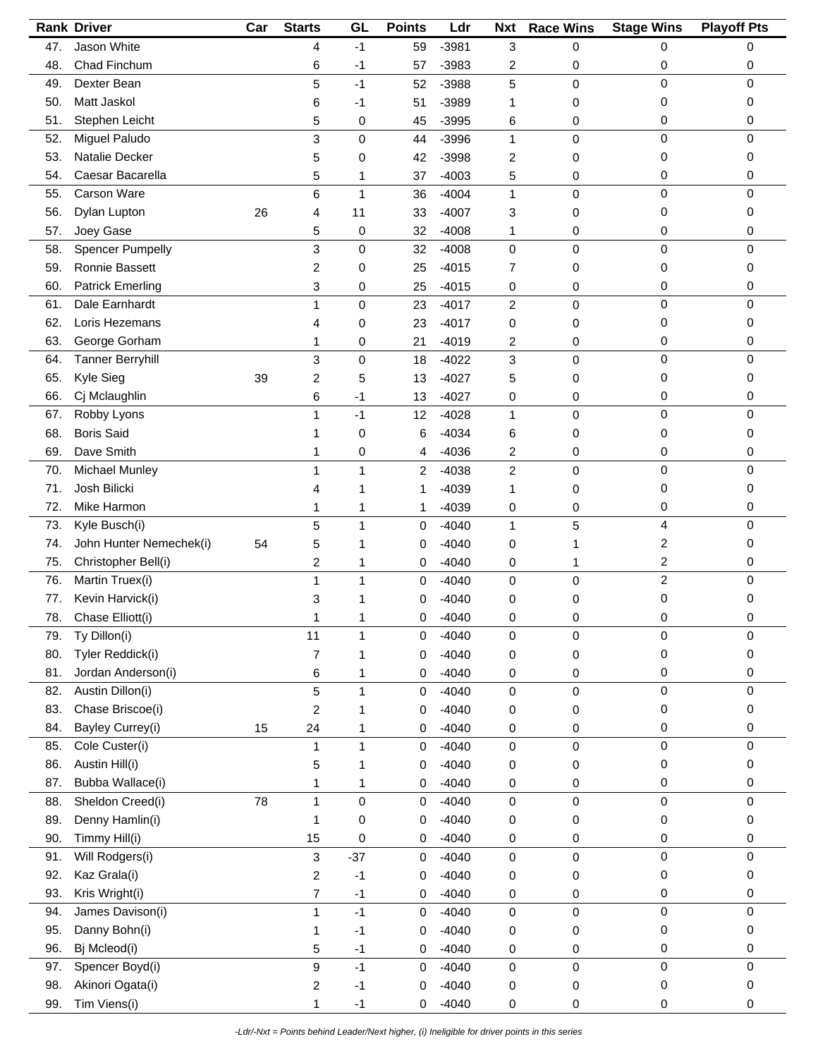|     | <b>Rank Driver</b>      | Car | <b>Starts</b>             | GL           | <b>Points</b> | Ldr     | <b>Nxt</b>     | <b>Race Wins</b> | <b>Stage Wins</b> | <b>Playoff Pts</b> |
|-----|-------------------------|-----|---------------------------|--------------|---------------|---------|----------------|------------------|-------------------|--------------------|
| 47. | Jason White             |     | 4                         | $-1$         | 59            | $-3981$ | 3              | 0                | 0                 | 0                  |
| 48. | Chad Finchum            |     | 6                         | -1           | 57            | $-3983$ | 2              | 0                | 0                 | 0                  |
| 49. | Dexter Bean             |     | 5                         | $-1$         | 52            | $-3988$ | 5              | 0                | 0                 | $\mathbf 0$        |
| 50. | Matt Jaskol             |     | 6                         | -1           | 51            | $-3989$ | 1              | 0                | 0                 | 0                  |
| 51. | Stephen Leicht          |     | 5                         | 0            | 45            | $-3995$ | 6              | 0                | 0                 | 0                  |
| 52. | Miguel Paludo           |     | 3                         | $\mathbf 0$  | 44            | $-3996$ | $\mathbf{1}$   | 0                | $\mathbf 0$       | $\mathbf 0$        |
| 53. | Natalie Decker          |     | 5                         | 0            | 42            | $-3998$ | 2              | 0                | 0                 | 0                  |
| 54. | Caesar Bacarella        |     | 5                         | 1            | 37            | $-4003$ | 5              | 0                | 0                 | 0                  |
| 55. | Carson Ware             |     | 6                         | 1            | 36            | $-4004$ | $\mathbf{1}$   | 0                | $\mathbf 0$       | 0                  |
| 56. | Dylan Lupton            | 26  | 4                         | 11           | 33            | $-4007$ | 3              | 0                | 0                 | 0                  |
| 57. | Joey Gase               |     | 5                         | 0            | 32            | $-4008$ | 1              | 0                | 0                 | 0                  |
| 58. | <b>Spencer Pumpelly</b> |     | 3                         | 0            | 32            | $-4008$ | $\mathbf 0$    | 0                | $\mathbf 0$       | 0                  |
| 59. | Ronnie Bassett          |     | 2                         | 0            | 25            | $-4015$ | 7              | 0                | 0                 | 0                  |
| 60. | <b>Patrick Emerling</b> |     | 3                         | 0            | 25            | $-4015$ | 0              | 0                | 0                 | 0                  |
| 61. | Dale Earnhardt          |     | 1                         | 0            | 23            | $-4017$ | $\overline{2}$ | 0                | 0                 | 0                  |
| 62. | Loris Hezemans          |     | 4                         | 0            | 23            | $-4017$ | 0              | 0                | 0                 | 0                  |
| 63. | George Gorham           |     | 1                         | 0            | 21            | $-4019$ | 2              | 0                | 0                 | 0                  |
| 64. | <b>Tanner Berryhill</b> |     | $\ensuremath{\mathsf{3}}$ |              |               | $-4022$ | 3              |                  | 0                 | 0                  |
|     |                         |     |                           | 0            | 18            |         |                | 0                |                   |                    |
| 65. | Kyle Sieg               | 39  | 2                         | 5            | 13            | $-4027$ | 5              | 0                | 0                 | 0                  |
| 66. | Cj Mclaughlin           |     | 6                         | -1           | 13            | $-4027$ | 0              | 0                | 0                 | 0                  |
| 67. | Robby Lyons             |     | 1                         | $-1$         | 12            | $-4028$ | $\mathbf{1}$   | 0                | $\pmb{0}$         | $\mathbf 0$        |
| 68. | <b>Boris Said</b>       |     | 1                         | 0            | 6             | $-4034$ | 6              | 0                | 0                 | 0                  |
| 69. | Dave Smith              |     | 1                         | 0            | 4             | $-4036$ | 2              | 0                | 0                 | 0                  |
| 70. | <b>Michael Munley</b>   |     | 1                         | 1            | 2             | $-4038$ | $\overline{c}$ | 0                | $\pmb{0}$         | 0                  |
| 71. | Josh Bilicki            |     | 4                         | 1            | 1             | $-4039$ | 1              | 0                | 0                 | 0                  |
| 72. | Mike Harmon             |     | 1                         | 1            | 1             | $-4039$ | 0              | 0                | 0                 | 0                  |
| 73. | Kyle Busch(i)           |     | 5                         | 1            | $\mathbf 0$   | $-4040$ | $\mathbf{1}$   | 5                | 4                 | $\mathbf 0$        |
| 74. | John Hunter Nemechek(i) | 54  | 5                         | 1            | 0             | $-4040$ | 0              |                  | 2                 | 0                  |
| 75. | Christopher Bell(i)     |     | 2                         | 1            | 0             | $-4040$ | 0              | 1                | 2                 | 0                  |
| 76. | Martin Truex(i)         |     | 1                         | 1            | 0             | $-4040$ | 0              | 0                | $\overline{c}$    | $\mathbf 0$        |
| 77. | Kevin Harvick(i)        |     | 3                         |              | 0             | $-4040$ | 0              | 0                | 0                 | 0                  |
| 78. | Chase Elliott(i)        |     | 1                         | 1            | 0             | $-4040$ | 0              | 0                | 0                 | 0                  |
| 79. | Ty Dillon(i)            |     | 11                        | 1            | 0             | $-4040$ | 0              | 0                | 0                 | 0                  |
| 80. | Tyler Reddick(i)        |     | $\overline{7}$            | 1            | 0             | $-4040$ | 0              | 0                | 0                 | 0                  |
| 81. | Jordan Anderson(i)      |     | 6                         | 1            | 0             | $-4040$ | 0              | 0                | 0                 | 0                  |
| 82. | Austin Dillon(i)        |     | 5                         | 1            | 0             | $-4040$ | $\pmb{0}$      | 0                | $\pmb{0}$         | 0                  |
| 83. | Chase Briscoe(i)        |     | $\overline{c}$            | 1            | 0             | $-4040$ | 0              | 0                | 0                 | 0                  |
| 84. | Bayley Currey(i)        | 15  | 24                        | 1            | 0             | $-4040$ | 0              | 0                | 0                 | 0                  |
| 85. | Cole Custer(i)          |     | 1                         | $\mathbf{1}$ | $\mathbf 0$   | $-4040$ | 0              | 0                | 0                 | 0                  |
| 86. | Austin Hill(i)          |     | 5                         | 1            | 0             | $-4040$ | 0              | 0                | 0                 | 0                  |
| 87. | Bubba Wallace(i)        |     | 1                         | 1            | 0             | $-4040$ | 0              | 0                | 0                 | 0                  |
| 88. | Sheldon Creed(i)        | 78  | $\mathbf{1}$              | 0            | 0             | $-4040$ | 0              | 0                | $\pmb{0}$         | 0                  |
| 89. | Denny Hamlin(i)         |     | 1                         | 0            | 0             | $-4040$ | 0              | 0                | 0                 | 0                  |
| 90. | Timmy Hill(i)           |     | 15                        | 0            | 0             | $-4040$ | 0              | 0                | 0                 | 0                  |
| 91. | Will Rodgers(i)         |     | $\ensuremath{\mathsf{3}}$ | $-37$        | 0             | $-4040$ | $\mathsf 0$    | 0                | $\pmb{0}$         | $\mathbf 0$        |
| 92. | Kaz Grala(i)            |     | $\overline{c}$            | $-1$         | 0             | $-4040$ | 0              | 0                | 0                 | 0                  |
| 93. | Kris Wright(i)          |     | $\overline{7}$            | $-1$         | 0             | $-4040$ | 0              | 0                | 0                 | 0                  |
| 94. | James Davison(i)        |     | 1                         | $-1$         | $\mathbf 0$   | $-4040$ | $\pmb{0}$      | 0                | $\pmb{0}$         | 0                  |
| 95. | Danny Bohn(i)           |     | 1                         | $-1$         | 0             | $-4040$ | 0              | 0                | 0                 | 0                  |
| 96. | Bj Mcleod(i)            |     | 5                         | $-1$         | 0             | $-4040$ | 0              | 0                | 0                 | $\pmb{0}$          |
| 97. | Spencer Boyd(i)         |     | 9                         | $-1$         | $\mathbf 0$   | $-4040$ | $\pmb{0}$      | 0                | $\pmb{0}$         | $\pmb{0}$          |
| 98. | Akinori Ogata(i)        |     | 2                         | $-1$         | 0             | $-4040$ | 0              | 0                | 0                 | 0                  |
| 99. | Tim Viens(i)            |     | 1                         | $-1$         | 0             | $-4040$ | 0              | 0                | 0                 | 0                  |
|     |                         |     |                           |              |               |         |                |                  |                   |                    |